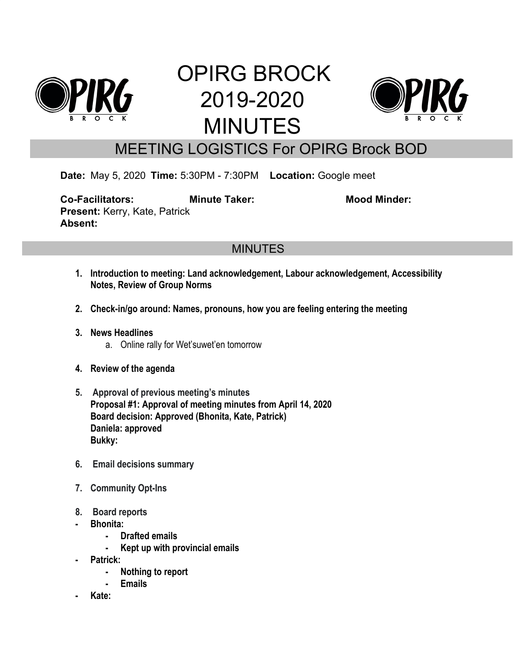

# OPIRG BROCK 2019-2020 MINUTES



## MEETING LOGISTICS For OPIRG Brock BOD

**Date:** May 5, 2020 **Time:** 5:30PM - 7:30PM **Location:** Google meet

**Co-Facilitators: Minute Taker: Mood Minder: Present:** Kerry, Kate, Patrick **Absent:**

### **MINUTES**

- **1. Introduction to meeting: Land acknowledgement, Labour acknowledgement, Accessibility Notes, Review of Group Norms**
- **2. Check-in/go around: Names, pronouns, how you are feeling entering the meeting**
- **3. News Headlines**
	- a. Online rally for Wet'suwet'en tomorrow
- **4. Review of the agenda**
- **5. Approval of previous meeting's minutes Proposal #1: Approval of meeting minutes from April 14, 2020 Board decision: Approved (Bhonita, Kate, Patrick) Daniela: approved Bukky:**
- **6. Email decisions summary**
- **7. Community Opt-Ins**
- **8. Board reports**
- **- Bhonita:**
	- **- Drafted emails**
	- **- Kept up with provincial emails**
- **- Patrick:**
	- **- Nothing to report**
	- **- Emails**
- **- Kate:**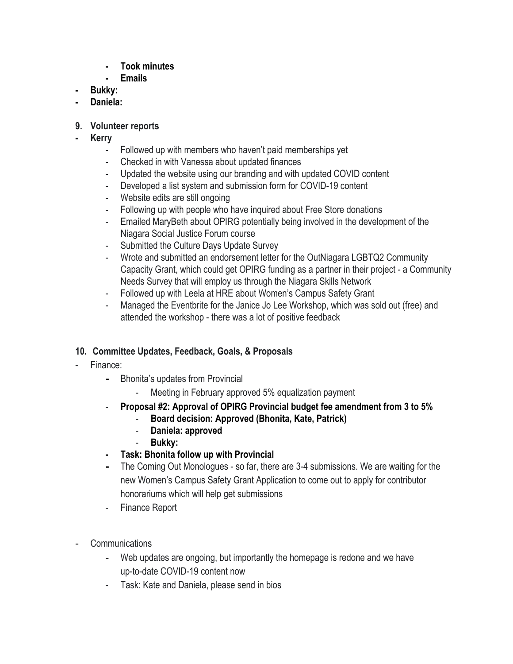- **- Took minutes**
- **- Emails**
- **- Bukky:**
- **- Daniela:**
- **9. Volunteer reports**
- **- Kerry**
	- Followed up with members who haven't paid memberships yet
	- Checked in with Vanessa about updated finances
	- Updated the website using our branding and with updated COVID content
	- Developed a list system and submission form for COVID-19 content
	- Website edits are still ongoing
	- Following up with people who have inquired about Free Store donations
	- Emailed MaryBeth about OPIRG potentially being involved in the development of the Niagara Social Justice Forum course
	- Submitted the Culture Days Update Survey
	- Wrote and submitted an endorsement letter for the OutNiagara LGBTQ2 Community Capacity Grant, which could get OPIRG funding as a partner in their project - a Community Needs Survey that will employ us through the Niagara Skills Network
	- Followed up with Leela at HRE about Women's Campus Safety Grant
	- Managed the Eventbrite for the Janice Jo Lee Workshop, which was sold out (free) and attended the workshop - there was a lot of positive feedback

#### **10. Committee Updates, Feedback, Goals, & Proposals**

- Finance:
	- **-** Bhonita's updates from Provincial
		- Meeting in February approved 5% equalization payment
	- **Proposal #2: Approval of OPIRG Provincial budget fee amendment from 3 to 5%**
		- **Board decision: Approved (Bhonita, Kate, Patrick)**
		- **Daniela: approved**
		- **Bukky:**
	- **- Task: Bhonita follow up with Provincial**
	- **-** The Coming Out Monologues so far, there are 3-4 submissions. We are waiting for the new Women's Campus Safety Grant Application to come out to apply for contributor honorariums which will help get submissions
	- Finance Report
- **Communications** 
	- Web updates are ongoing, but importantly the homepage is redone and we have up-to-date COVID-19 content now
	- Task: Kate and Daniela, please send in bios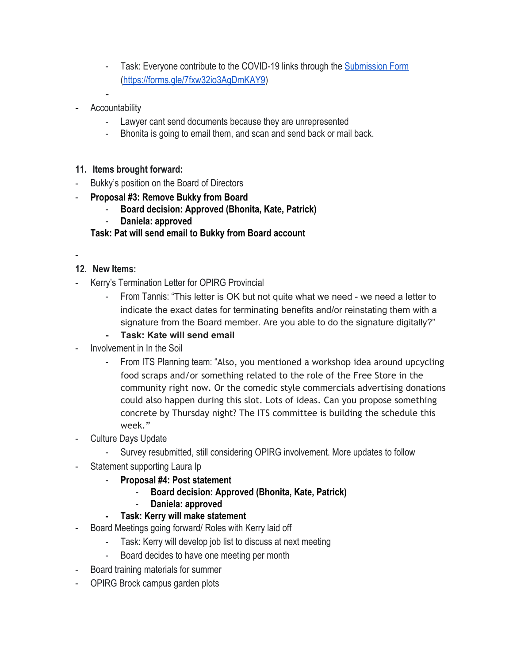- Task: Everyone contribute to the COVID-19 links through the [Submission Form](https://forms.gle/7fxw32io3AgDmKAY9) [\(https://forms.gle/7fxw32io3AgDmKAY9](https://forms.gle/7fxw32io3AgDmKAY9))
- **Accountability** 
	- Lawyer cant send documents because they are unrepresented
	- Bhonita is going to email them, and scan and send back or mail back.
- **11. Items brought forward:**
- Bukky's position on the Board of Directors
- **Proposal #3: Remove Bukky from Board**
	- **Board decision: Approved (Bhonita, Kate, Patrick)**
	- **Daniela: approved**

#### **Task: Pat will send email to Bukky from Board account**

-

#### **12. New Items:**

- Kerry's Termination Letter for OPIRG Provincial
	- From Tannis: "This letter is OK but not quite what we need we need a letter to indicate the exact dates for terminating benefits and/or reinstating them with a signature from the Board member. Are you able to do the signature digitally?"
	- **- Task: Kate will send email**
- Involvement in In the Soil
	- From ITS Planning team: "Also, you mentioned a workshop idea around upcycling food scraps and/or something related to the role of the Free Store in the community right now. Or the comedic style commercials advertising donations could also happen during this slot. Lots of ideas. Can you propose something concrete by Thursday night? The ITS committee is building the schedule this week."
- Culture Days Update
	- Survey resubmitted, still considering OPIRG involvement. More updates to follow
- Statement supporting Laura Ip
	- **Proposal #4: Post statement**
		- **Board decision: Approved (Bhonita, Kate, Patrick)**
		- **Daniela: approved**
	- **- Task: Kerry will make statement**
- Board Meetings going forward/ Roles with Kerry laid off
	- Task: Kerry will develop job list to discuss at next meeting
	- Board decides to have one meeting per month
- Board training materials for summer
- OPIRG Brock campus garden plots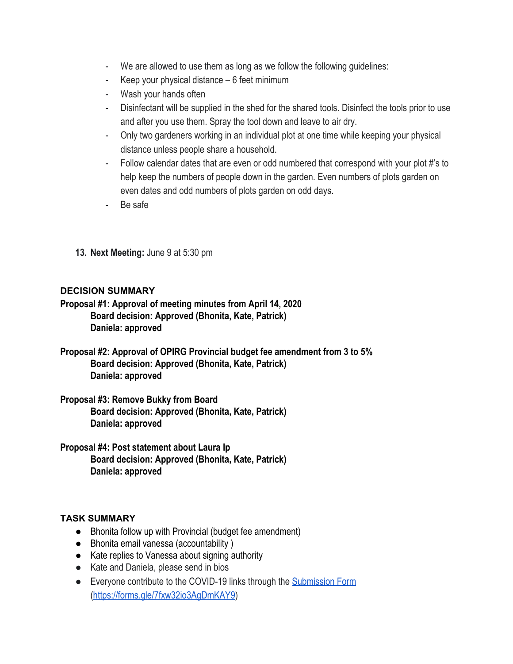- We are allowed to use them as long as we follow the following guidelines:
- Keep your physical distance  $-6$  feet minimum
- Wash your hands often
- Disinfectant will be supplied in the shed for the shared tools. Disinfect the tools prior to use and after you use them. Spray the tool down and leave to air dry.
- Only two gardeners working in an individual plot at one time while keeping your physical distance unless people share a household.
- Follow calendar dates that are even or odd numbered that correspond with your plot #'s to help keep the numbers of people down in the garden. Even numbers of plots garden on even dates and odd numbers of plots garden on odd days.
- Be safe
- **13. Next Meeting:** June 9 at 5:30 pm

#### **DECISION SUMMARY**

**Proposal #1: Approval of meeting minutes from April 14, 2020 Board decision: Approved (Bhonita, Kate, Patrick) Daniela: approved**

**Proposal #2: Approval of OPIRG Provincial budget fee amendment from 3 to 5% Board decision: Approved (Bhonita, Kate, Patrick) Daniela: approved**

**Proposal #3: Remove Bukky from Board Board decision: Approved (Bhonita, Kate, Patrick) Daniela: approved**

**Proposal #4: Post statement about Laura Ip Board decision: Approved (Bhonita, Kate, Patrick) Daniela: approved**

#### **TASK SUMMARY**

- Bhonita follow up with Provincial (budget fee amendment)
- Bhonita email vanessa (accountability )
- Kate replies to Vanessa about signing authority
- Kate and Daniela, please send in bios
- Everyone contribute to the COVID-19 links through the **[Submission Form](https://forms.gle/7fxw32io3AgDmKAY9)** [\(https://forms.gle/7fxw32io3AgDmKAY9](https://forms.gle/7fxw32io3AgDmKAY9))